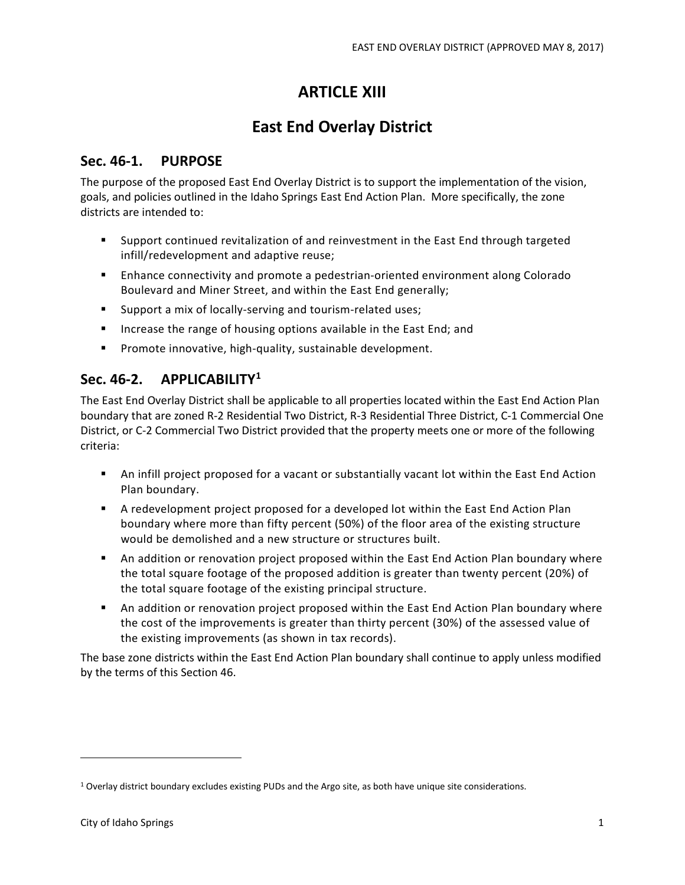# **ARTICLE XIII**

# **East End Overlay District**

## **Sec. 46-1. PURPOSE**

The purpose of the proposed East End Overlay District is to support the implementation of the vision, goals, and policies outlined in the Idaho Springs East End Action Plan. More specifically, the zone districts are intended to:

- Support continued revitalization of and reinvestment in the East End through targeted infill/redevelopment and adaptive reuse;
- **Enhance connectivity and promote a pedestrian-oriented environment along Colorado** Boulevard and Miner Street, and within the East End generally;
- **Support a mix of locally-serving and tourism-related uses;**
- **IF** Increase the range of housing options available in the East End; and
- **Promote innovative, high-quality, sustainable development.**

## **Sec. 46-2. APPLICABILITY1**

The East End Overlay District shall be applicable to all properties located within the East End Action Plan boundary that are zoned R-2 Residential Two District, R-3 Residential Three District, C-1 Commercial One District, or C-2 Commercial Two District provided that the property meets one or more of the following criteria:

- An infill project proposed for a vacant or substantially vacant lot within the East End Action Plan boundary.
- A redevelopment project proposed for a developed lot within the East End Action Plan boundary where more than fifty percent (50%) of the floor area of the existing structure would be demolished and a new structure or structures built.
- An addition or renovation project proposed within the East End Action Plan boundary where the total square footage of the proposed addition is greater than twenty percent (20%) of the total square footage of the existing principal structure.
- An addition or renovation project proposed within the East End Action Plan boundary where the cost of the improvements is greater than thirty percent (30%) of the assessed value of the existing improvements (as shown in tax records).

The base zone districts within the East End Action Plan boundary shall continue to apply unless modified by the terms of this Section 46.

<sup>1</sup> Overlay district boundary excludes existing PUDs and the Argo site, as both have unique site considerations.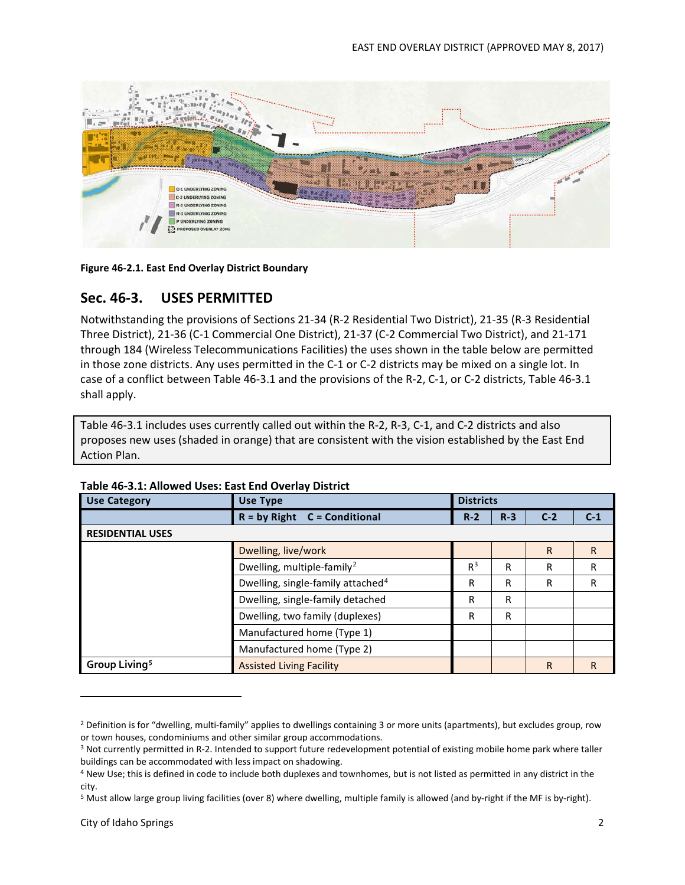

**Figure 46-2.1. East End Overlay District Boundary**

## **Sec. 46-3. USES PERMITTED**

Notwithstanding the provisions of Sections 21-34 (R-2 Residential Two District), 21-35 (R-3 Residential Three District), 21-36 (C-1 Commercial One District), 21-37 (C-2 Commercial Two District), and 21-171 through 184 (Wireless Telecommunications Facilities) the uses shown in the table below are permitted in those zone districts. Any uses permitted in the C-1 or C-2 districts may be mixed on a single lot. In case of a conflict between Table 46-3.1 and the provisions of the R-2, C-1, or C-2 districts, Table 46-3.1 shall apply.

Table 46-3.1 includes uses currently called out within the R-2, R-3, C-1, and C-2 districts and also proposes new uses (shaded in orange) that are consistent with the vision established by the East End Action Plan.

| <b>Use Category</b>       | <b>Use Type</b>                               | <b>Districts</b> |       |              |   |
|---------------------------|-----------------------------------------------|------------------|-------|--------------|---|
|                           | $R = by Right$<br><b>C</b> = Conditional      | $C-2$            | $C-1$ |              |   |
| <b>RESIDENTIAL USES</b>   |                                               |                  |       |              |   |
|                           | Dwelling, live/work                           |                  |       | $\mathsf{R}$ | R |
|                           | Dwelling, multiple-family <sup>2</sup>        |                  | R     | R            | R |
|                           | Dwelling, single-family attached <sup>4</sup> |                  | R     | R            | R |
|                           | Dwelling, single-family detached              |                  | R     |              |   |
|                           | Dwelling, two family (duplexes)               |                  | R     |              |   |
|                           | Manufactured home (Type 1)                    |                  |       |              |   |
|                           | Manufactured home (Type 2)                    |                  |       |              |   |
| Group Living <sup>5</sup> | <b>Assisted Living Facility</b>               |                  |       | $\mathsf{R}$ | R |

#### **Table 46-3.1: Allowed Uses: East End Overlay District**

<sup>&</sup>lt;sup>2</sup> Definition is for "dwelling, multi-family" applies to dwellings containing 3 or more units (apartments), but excludes group, row or town houses, condominiums and other similar group accommodations.

<sup>&</sup>lt;sup>3</sup> Not currently permitted in R-2. Intended to support future redevelopment potential of existing mobile home park where taller buildings can be accommodated with less impact on shadowing.

<sup>4</sup> New Use; this is defined in code to include both duplexes and townhomes, but is not listed as permitted in any district in the

city.<br><sup>5</sup> Must allow large group living facilities (over 8) where dwelling, multiple family is allowed (and by-right if the MF is by-right).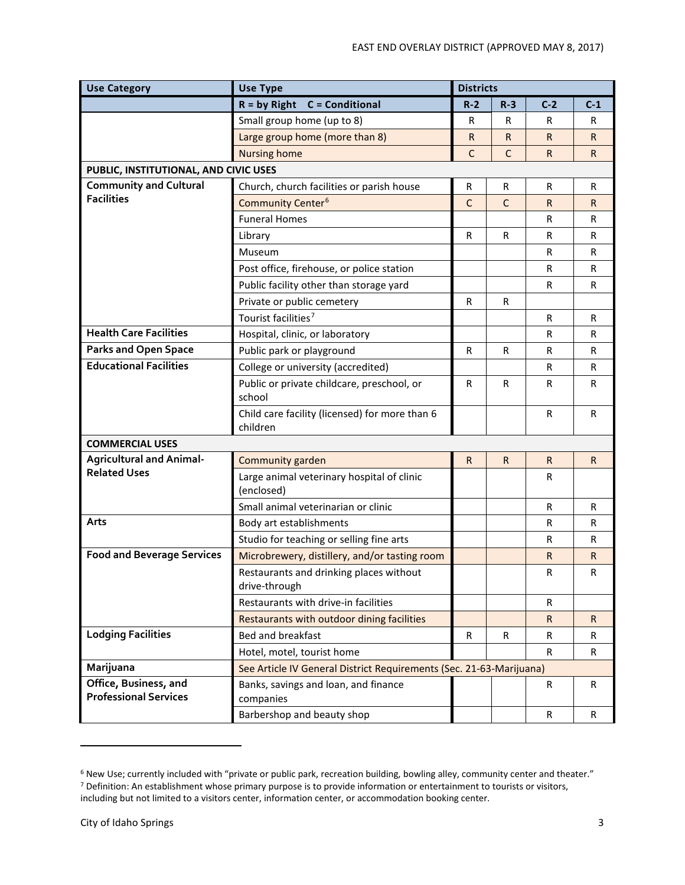| <b>Use Category</b>                                   | <b>Use Type</b>                                                     | <b>Districts</b> |              |              |              |
|-------------------------------------------------------|---------------------------------------------------------------------|------------------|--------------|--------------|--------------|
|                                                       | <b>C</b> = Conditional<br>$R = by Right$                            | $R-2$            | $R-3$        | $C-2$        | $C-1$        |
|                                                       | Small group home (up to 8)                                          | R                | R            | R            | R            |
|                                                       | Large group home (more than 8)                                      | $\mathsf{R}$     | R.           | R            | R.           |
|                                                       | <b>Nursing home</b>                                                 | $\mathsf{C}$     | C            | $\mathsf{R}$ | R.           |
| PUBLIC, INSTITUTIONAL, AND CIVIC USES                 |                                                                     |                  |              |              |              |
| <b>Community and Cultural</b>                         | Church, church facilities or parish house                           | R                | R            | R            | R            |
| <b>Facilities</b>                                     | Community Center <sup>6</sup>                                       | $\mathsf{C}$     | $\mathsf{C}$ | $\mathsf{R}$ | $\mathsf{R}$ |
|                                                       | <b>Funeral Homes</b>                                                |                  |              | $\mathsf{R}$ | R            |
|                                                       | Library                                                             | $\mathsf{R}$     | $\mathsf{R}$ | $\mathsf{R}$ | $\mathsf{R}$ |
|                                                       | Museum                                                              |                  |              | $\mathsf{R}$ | R            |
|                                                       | Post office, firehouse, or police station                           |                  |              | R            | R            |
|                                                       | Public facility other than storage yard                             |                  |              | $\mathsf{R}$ | R            |
|                                                       | Private or public cemetery                                          | R                | R            |              |              |
|                                                       | Tourist facilities <sup>7</sup>                                     |                  |              | $\mathsf{R}$ | $\mathsf{R}$ |
| <b>Health Care Facilities</b>                         | Hospital, clinic, or laboratory                                     |                  |              | $\mathsf{R}$ | R            |
| <b>Parks and Open Space</b>                           | Public park or playground                                           | $\mathsf R$      | R            | R            | R            |
| <b>Educational Facilities</b>                         | College or university (accredited)                                  |                  |              | $\mathsf{R}$ | R            |
|                                                       | Public or private childcare, preschool, or<br>school                | $\mathsf{R}$     | R            | $\mathsf{R}$ | $\mathsf{R}$ |
|                                                       | Child care facility (licensed) for more than 6<br>children          |                  |              | $\mathsf{R}$ | R            |
| <b>COMMERCIAL USES</b>                                |                                                                     |                  |              |              |              |
| <b>Agricultural and Animal-</b>                       | Community garden                                                    | $\mathsf{R}$     | $\mathsf{R}$ | $\mathsf{R}$ | $\mathsf{R}$ |
| <b>Related Uses</b>                                   | Large animal veterinary hospital of clinic<br>(enclosed)            |                  |              | R            |              |
|                                                       | Small animal veterinarian or clinic                                 |                  |              | $\mathsf{R}$ | $\mathsf{R}$ |
| Arts                                                  | Body art establishments                                             |                  |              | R            | R            |
|                                                       | Studio for teaching or selling fine arts                            |                  |              | R            | R            |
| <b>Food and Beverage Services</b>                     | Microbrewery, distillery, and/or tasting room                       |                  |              | R            | R.           |
|                                                       | Restaurants and drinking places without<br>drive-through            |                  |              | R            | R            |
|                                                       | Restaurants with drive-in facilities                                |                  |              | R            |              |
|                                                       | Restaurants with outdoor dining facilities                          |                  |              | $\mathsf{R}$ | $\mathsf{R}$ |
| <b>Lodging Facilities</b>                             | Bed and breakfast                                                   | $\mathsf{R}$     | $\mathsf{R}$ | $\mathsf{R}$ | R            |
|                                                       | Hotel, motel, tourist home                                          |                  |              | R            | $\mathsf{R}$ |
| Marijuana                                             | See Article IV General District Requirements (Sec. 21-63-Marijuana) |                  |              |              |              |
| Office, Business, and<br><b>Professional Services</b> | Banks, savings and loan, and finance<br>companies                   |                  |              | R            | $\mathsf{R}$ |
|                                                       | Barbershop and beauty shop                                          |                  |              | $\mathsf{R}$ | $\mathsf{R}$ |

<sup>6</sup> New Use; currently included with "private or public park, recreation building, bowling alley, community center and theater." <sup>7</sup> Definition: An establishment whose primary purpose is to provide information or entertainment to tourists or visitors, including but not limited to a visitors center, information center, or accommodation booking center.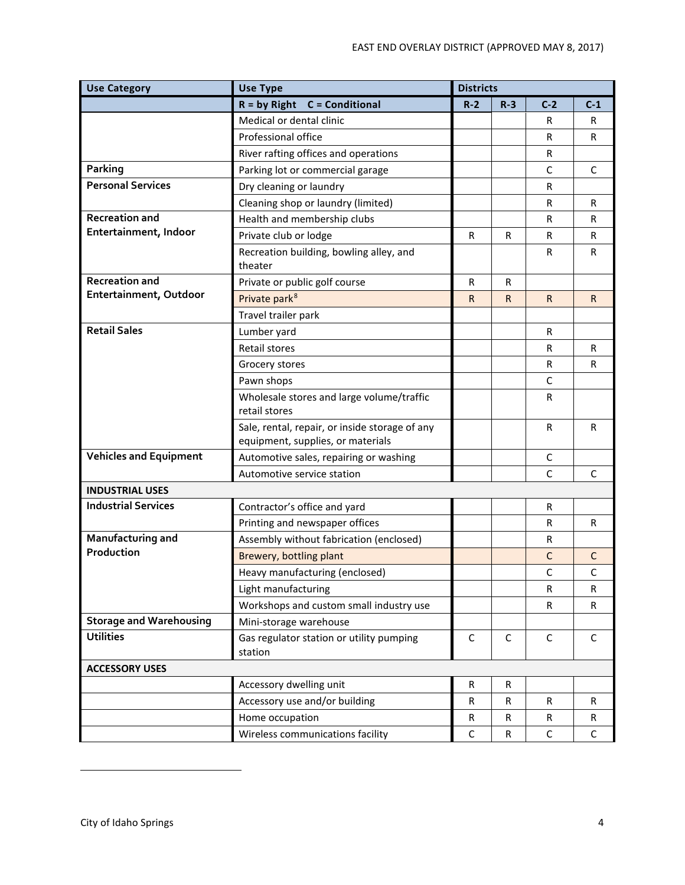| <b>Use Category</b>            | <b>Use Type</b>                                                                     |       | <b>Districts</b> |              |              |
|--------------------------------|-------------------------------------------------------------------------------------|-------|------------------|--------------|--------------|
|                                | <b>C</b> = Conditional<br>$R = by Right$                                            | $R-2$ | $R-3$            | $C-2$        | $C-1$        |
|                                | Medical or dental clinic                                                            |       |                  | R            | R            |
|                                | Professional office                                                                 |       |                  | $\mathsf{R}$ | $\mathsf{R}$ |
|                                | River rafting offices and operations                                                |       |                  | $\mathsf{R}$ |              |
| Parking                        | Parking lot or commercial garage                                                    |       |                  | $\mathsf{C}$ | $\mathsf{C}$ |
| <b>Personal Services</b>       | Dry cleaning or laundry                                                             |       |                  | $\mathsf{R}$ |              |
|                                | Cleaning shop or laundry (limited)                                                  |       |                  | $\mathsf{R}$ | $\mathsf{R}$ |
| <b>Recreation and</b>          | Health and membership clubs                                                         |       |                  | R            | R            |
| Entertainment, Indoor          | Private club or lodge                                                               | R     | R                | R            | R            |
|                                | Recreation building, bowling alley, and<br>theater                                  |       |                  | R            | $\mathsf{R}$ |
| <b>Recreation and</b>          | Private or public golf course                                                       | R     | R                |              |              |
| Entertainment, Outdoor         | Private park <sup>8</sup>                                                           | R.    | R.               | $\mathsf{R}$ | R.           |
|                                | Travel trailer park                                                                 |       |                  |              |              |
| <b>Retail Sales</b>            | Lumber yard                                                                         |       |                  | R            |              |
|                                | <b>Retail stores</b>                                                                |       |                  | $\mathsf{R}$ | R            |
|                                | Grocery stores                                                                      |       |                  | R            | $\mathsf{R}$ |
|                                | Pawn shops                                                                          |       |                  | C            |              |
|                                | Wholesale stores and large volume/traffic<br>retail stores                          |       |                  | R            |              |
|                                | Sale, rental, repair, or inside storage of any<br>equipment, supplies, or materials |       |                  | $\mathsf{R}$ | R            |
| <b>Vehicles and Equipment</b>  | Automotive sales, repairing or washing                                              |       |                  | C            |              |
|                                | Automotive service station                                                          |       |                  | C            | C            |
| <b>INDUSTRIAL USES</b>         |                                                                                     |       |                  |              |              |
| <b>Industrial Services</b>     | Contractor's office and yard                                                        |       |                  | R            |              |
|                                | Printing and newspaper offices                                                      |       |                  | $\mathsf{R}$ | R            |
| Manufacturing and              | Assembly without fabrication (enclosed)                                             |       |                  | $\mathsf{R}$ |              |
| Production                     | Brewery, bottling plant                                                             |       |                  | C            | C            |
|                                | Heavy manufacturing (enclosed)                                                      |       |                  | $\mathsf{C}$ | $\mathsf C$  |
|                                | Light manufacturing                                                                 |       |                  | R            | R            |
|                                | Workshops and custom small industry use                                             |       |                  | R            | $\mathsf{R}$ |
| <b>Storage and Warehousing</b> | Mini-storage warehouse                                                              |       |                  |              |              |
| <b>Utilities</b>               | Gas regulator station or utility pumping<br>station                                 | C     | C                | C            | C            |
| <b>ACCESSORY USES</b>          |                                                                                     |       |                  |              |              |
|                                | Accessory dwelling unit                                                             | R     | R                |              |              |
|                                | Accessory use and/or building                                                       | R     | $\mathsf{R}$     | R            | R            |
|                                | Home occupation                                                                     | R     | R                | R            | R.           |
|                                | Wireless communications facility                                                    | C     | $\mathsf{R}$     | C            | $\mathsf C$  |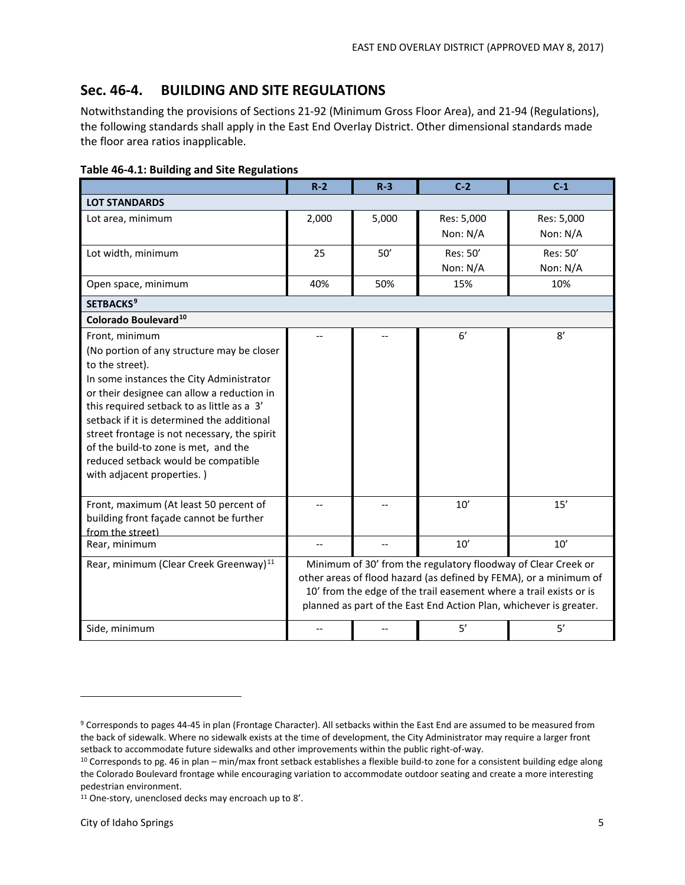## **Sec. 46-4. BUILDING AND SITE REGULATIONS**

Notwithstanding the provisions of Sections 21-92 (Minimum Gross Floor Area), and 21-94 (Regulations), the following standards shall apply in the East End Overlay District. Other dimensional standards made the floor area ratios inapplicable.

| $\sim$ 70 7.1. Danamg ana one negar                                                                                                                                                                                                                                                                                                                                                                                                |                                                                                                                                                                                                                                                                                |       |                        |                        |
|------------------------------------------------------------------------------------------------------------------------------------------------------------------------------------------------------------------------------------------------------------------------------------------------------------------------------------------------------------------------------------------------------------------------------------|--------------------------------------------------------------------------------------------------------------------------------------------------------------------------------------------------------------------------------------------------------------------------------|-------|------------------------|------------------------|
|                                                                                                                                                                                                                                                                                                                                                                                                                                    | $R-2$                                                                                                                                                                                                                                                                          | $R-3$ | $C-2$                  | $C-1$                  |
| <b>LOT STANDARDS</b>                                                                                                                                                                                                                                                                                                                                                                                                               |                                                                                                                                                                                                                                                                                |       |                        |                        |
| Lot area, minimum                                                                                                                                                                                                                                                                                                                                                                                                                  | 2,000                                                                                                                                                                                                                                                                          | 5,000 | Res: 5,000<br>Non: N/A | Res: 5,000<br>Non: N/A |
| Lot width, minimum                                                                                                                                                                                                                                                                                                                                                                                                                 | 25                                                                                                                                                                                                                                                                             | 50'   | Res: 50'<br>Non: N/A   | Res: 50'<br>Non: $N/A$ |
| Open space, minimum                                                                                                                                                                                                                                                                                                                                                                                                                | 40%                                                                                                                                                                                                                                                                            | 50%   | 15%                    | 10%                    |
| <b>SETBACKS<sup>9</sup></b>                                                                                                                                                                                                                                                                                                                                                                                                        |                                                                                                                                                                                                                                                                                |       |                        |                        |
| Colorado Boulevard <sup>10</sup>                                                                                                                                                                                                                                                                                                                                                                                                   |                                                                                                                                                                                                                                                                                |       |                        |                        |
| Front, minimum<br>(No portion of any structure may be closer<br>to the street).<br>In some instances the City Administrator<br>or their designee can allow a reduction in<br>this required setback to as little as a 3'<br>setback if it is determined the additional<br>street frontage is not necessary, the spirit<br>of the build-to zone is met, and the<br>reduced setback would be compatible<br>with adjacent properties.) |                                                                                                                                                                                                                                                                                |       | 6'                     | 8'                     |
| Front, maximum (At least 50 percent of<br>building front façade cannot be further<br>from the street)                                                                                                                                                                                                                                                                                                                              |                                                                                                                                                                                                                                                                                |       | 10'                    | 15'                    |
| Rear, minimum                                                                                                                                                                                                                                                                                                                                                                                                                      |                                                                                                                                                                                                                                                                                |       | 10'                    | $10^{\prime}$          |
| Rear, minimum (Clear Creek Greenway) <sup>11</sup>                                                                                                                                                                                                                                                                                                                                                                                 | Minimum of 30' from the regulatory floodway of Clear Creek or<br>other areas of flood hazard (as defined by FEMA), or a minimum of<br>10' from the edge of the trail easement where a trail exists or is<br>planned as part of the East End Action Plan, whichever is greater. |       |                        |                        |
| Side, minimum                                                                                                                                                                                                                                                                                                                                                                                                                      |                                                                                                                                                                                                                                                                                |       | 5'                     | 5'                     |

**Table 46-4.1: Building and Site Regulations**

<sup>&</sup>lt;sup>9</sup> Corresponds to pages 44-45 in plan (Frontage Character). All setbacks within the East End are assumed to be measured from the back of sidewalk. Where no sidewalk exists at the time of development, the City Administrator may require a larger front setback to accommodate future sidewalks and other improvements within the public right-of-way.

<sup>&</sup>lt;sup>10</sup> Corresponds to pg. 46 in plan – min/max front setback establishes a flexible build-to zone for a consistent building edge along the Colorado Boulevard frontage while encouraging variation to accommodate outdoor seating and create a more interesting pedestrian environment.

<sup>11</sup> One-story, unenclosed decks may encroach up to 8'.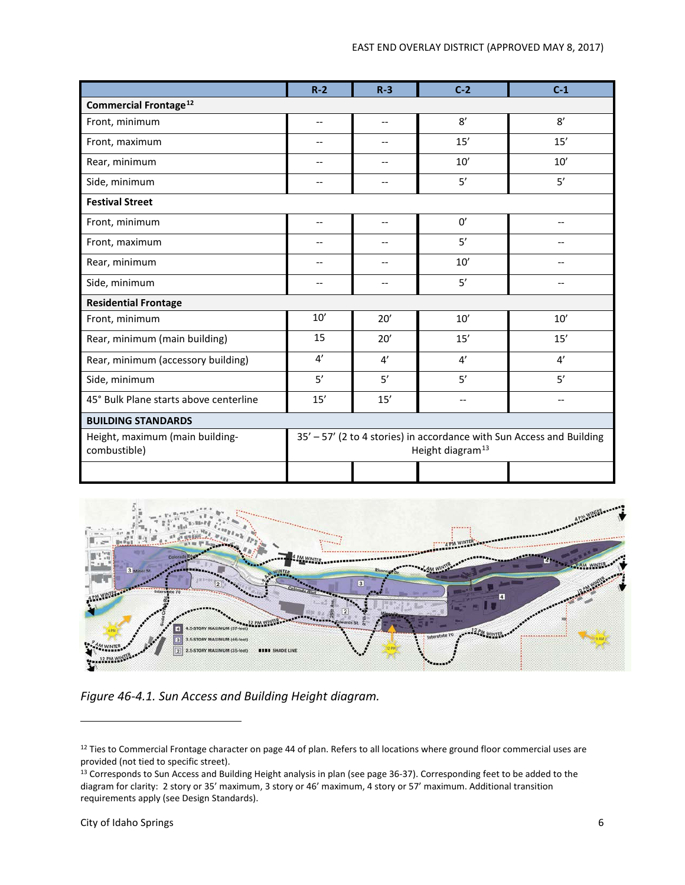|                                                 | $R - 2$                                                                                               | $R - 3$                  | $C-2$             | $C-1$             |  |
|-------------------------------------------------|-------------------------------------------------------------------------------------------------------|--------------------------|-------------------|-------------------|--|
| <b>Commercial Frontage<sup>12</sup></b>         |                                                                                                       |                          |                   |                   |  |
| Front, minimum                                  | $-$                                                                                                   | $\overline{\phantom{a}}$ | 8'                | 8'                |  |
| Front, maximum                                  | --                                                                                                    | --                       | 15'               | 15'               |  |
| Rear, minimum                                   | --                                                                                                    | $\qquad \qquad -$        | 10'               | 10'               |  |
| Side, minimum                                   | $-$                                                                                                   | $-$                      | 5'                | 5'                |  |
| <b>Festival Street</b>                          |                                                                                                       |                          |                   |                   |  |
| Front, minimum                                  | $-$                                                                                                   | $-$                      | 0'                | $-$               |  |
| Front, maximum                                  | $\overline{\phantom{a}}$                                                                              | $\overline{\phantom{a}}$ | 5'                | --                |  |
| Rear, minimum                                   | $-$                                                                                                   | $\overline{\phantom{a}}$ | 10'               | $-$               |  |
| Side, minimum                                   | $-$                                                                                                   | $\overline{\phantom{a}}$ | 5'                | $- -$             |  |
| <b>Residential Frontage</b>                     |                                                                                                       |                          |                   |                   |  |
| Front, minimum                                  | 10'                                                                                                   | 20'                      | 10'               | 10'               |  |
| Rear, minimum (main building)                   | 15                                                                                                    | 20'                      | 15'               | 15'               |  |
| Rear, minimum (accessory building)              | 4'                                                                                                    | 4'                       | 4'                | 4'                |  |
| Side, minimum                                   | 5'                                                                                                    | 5'                       | 5'                | 5'                |  |
| 45° Bulk Plane starts above centerline          | 15'                                                                                                   | 15'                      | $\qquad \qquad -$ | $\qquad \qquad -$ |  |
| <b>BUILDING STANDARDS</b>                       |                                                                                                       |                          |                   |                   |  |
| Height, maximum (main building-<br>combustible) | 35' - 57' (2 to 4 stories) in accordance with Sun Access and Building<br>Height diagram <sup>13</sup> |                          |                   |                   |  |
|                                                 |                                                                                                       |                          |                   |                   |  |



*Figure 46-4.1. Sun Access and Building Height diagram.*

<sup>&</sup>lt;sup>12</sup> Ties to Commercial Frontage character on page 44 of plan. Refers to all locations where ground floor commercial uses are provided (not tied to specific street).

<sup>&</sup>lt;sup>13</sup> Corresponds to Sun Access and Building Height analysis in plan (see page 36-37). Corresponding feet to be added to the diagram for clarity: 2 story or 35' maximum, 3 story or 46' maximum, 4 story or 57' maximum. Additional transition requirements apply (see Design Standards).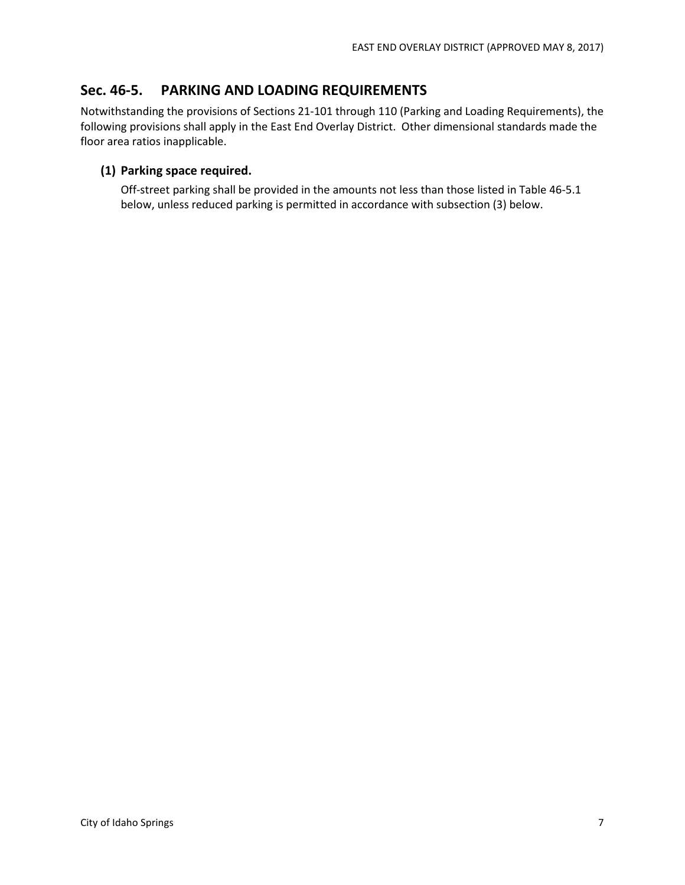## **Sec. 46-5. PARKING AND LOADING REQUIREMENTS**

Notwithstanding the provisions of Sections 21-101 through 110 (Parking and Loading Requirements), the following provisions shall apply in the East End Overlay District. Other dimensional standards made the floor area ratios inapplicable.

### **(1) Parking space required.**

Off-street parking shall be provided in the amounts not less than those listed in Table 46-5.1 below, unless reduced parking is permitted in accordance with subsection (3) below.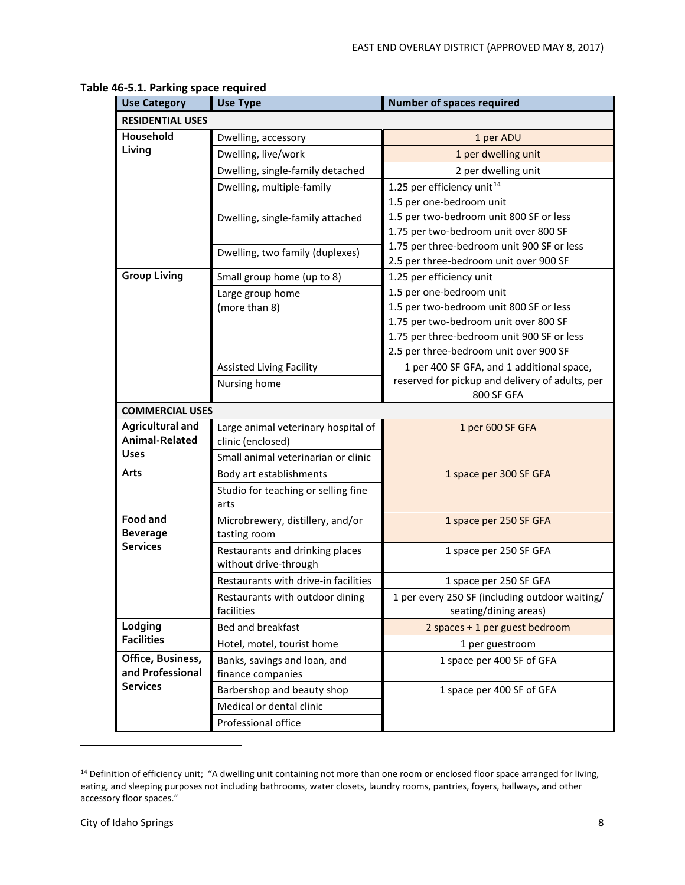| <b>Use Category</b>                       | <b>Use Type</b>                             | <b>Number of spaces required</b>                     |
|-------------------------------------------|---------------------------------------------|------------------------------------------------------|
| <b>RESIDENTIAL USES</b>                   |                                             |                                                      |
| Household                                 | Dwelling, accessory                         | 1 per ADU                                            |
| Living                                    | Dwelling, live/work                         | 1 per dwelling unit                                  |
|                                           | Dwelling, single-family detached            | 2 per dwelling unit                                  |
|                                           | Dwelling, multiple-family                   | 1.25 per efficiency unit <sup>14</sup>               |
|                                           |                                             | 1.5 per one-bedroom unit                             |
|                                           | Dwelling, single-family attached            | 1.5 per two-bedroom unit 800 SF or less              |
|                                           |                                             | 1.75 per two-bedroom unit over 800 SF                |
|                                           | Dwelling, two family (duplexes)             | 1.75 per three-bedroom unit 900 SF or less           |
| <b>Group Living</b>                       |                                             | 2.5 per three-bedroom unit over 900 SF               |
|                                           | Small group home (up to 8)                  | 1.25 per efficiency unit<br>1.5 per one-bedroom unit |
|                                           | Large group home<br>(more than 8)           | 1.5 per two-bedroom unit 800 SF or less              |
|                                           |                                             | 1.75 per two-bedroom unit over 800 SF                |
|                                           |                                             | 1.75 per three-bedroom unit 900 SF or less           |
|                                           |                                             | 2.5 per three-bedroom unit over 900 SF               |
|                                           | <b>Assisted Living Facility</b>             | 1 per 400 SF GFA, and 1 additional space,            |
|                                           | Nursing home                                | reserved for pickup and delivery of adults, per      |
|                                           |                                             | 800 SF GFA                                           |
| <b>COMMERCIAL USES</b>                    |                                             |                                                      |
| <b>Agricultural and</b><br>Animal-Related | Large animal veterinary hospital of         | 1 per 600 SF GFA                                     |
| <b>Uses</b>                               | clinic (enclosed)                           |                                                      |
|                                           | Small animal veterinarian or clinic         |                                                      |
| Arts                                      | Body art establishments                     | 1 space per 300 SF GFA                               |
|                                           | Studio for teaching or selling fine<br>arts |                                                      |
| Food and                                  | Microbrewery, distillery, and/or            | 1 space per 250 SF GFA                               |
| <b>Beverage</b>                           | tasting room                                |                                                      |
| <b>Services</b>                           | Restaurants and drinking places             | 1 space per 250 SF GFA                               |
|                                           | without drive-through                       |                                                      |
|                                           | Restaurants with drive-in facilities        | 1 space per 250 SF GFA                               |
|                                           | Restaurants with outdoor dining             | 1 per every 250 SF (including outdoor waiting/       |
|                                           | facilities                                  | seating/dining areas)                                |
| Lodging                                   | Bed and breakfast                           | 2 spaces + 1 per guest bedroom                       |
| <b>Facilities</b>                         | Hotel, motel, tourist home                  | 1 per guestroom                                      |
| Office, Business,                         | Banks, savings and loan, and                | 1 space per 400 SF of GFA                            |
| and Professional<br><b>Services</b>       | finance companies                           |                                                      |
|                                           | Barbershop and beauty shop                  | 1 space per 400 SF of GFA                            |
|                                           | Medical or dental clinic                    |                                                      |
|                                           | Professional office                         |                                                      |

#### **Table 46-5.1. Parking space required**

<sup>&</sup>lt;sup>14</sup> Definition of efficiency unit; "A dwelling unit containing not more than one room or enclosed floor space arranged for living, eating, and sleeping purposes not including bathrooms, water closets, laundry rooms, pantries, foyers, hallways, and other accessory floor spaces."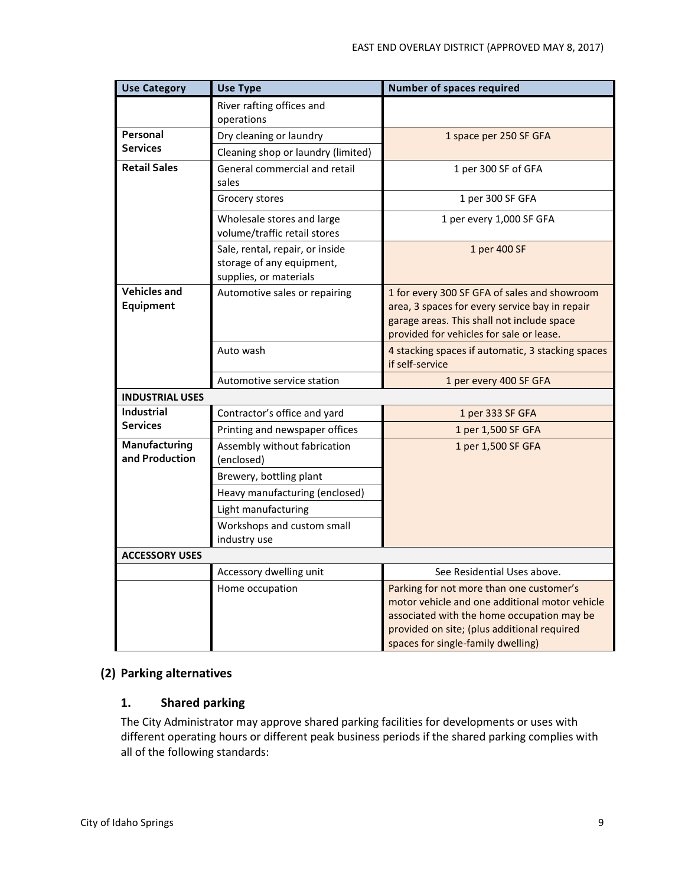| <b>Use Category</b>              | <b>Use Type</b>                                                                        | <b>Number of spaces required</b>                                                                                                                                                                                              |
|----------------------------------|----------------------------------------------------------------------------------------|-------------------------------------------------------------------------------------------------------------------------------------------------------------------------------------------------------------------------------|
|                                  | River rafting offices and<br>operations                                                |                                                                                                                                                                                                                               |
| Personal                         | Dry cleaning or laundry                                                                | 1 space per 250 SF GFA                                                                                                                                                                                                        |
| <b>Services</b>                  | Cleaning shop or laundry (limited)                                                     |                                                                                                                                                                                                                               |
| <b>Retail Sales</b>              | General commercial and retail<br>sales                                                 | 1 per 300 SF of GFA                                                                                                                                                                                                           |
|                                  | Grocery stores                                                                         | 1 per 300 SF GFA                                                                                                                                                                                                              |
|                                  | Wholesale stores and large<br>volume/traffic retail stores                             | 1 per every 1,000 SF GFA                                                                                                                                                                                                      |
|                                  | Sale, rental, repair, or inside<br>storage of any equipment,<br>supplies, or materials | 1 per 400 SF                                                                                                                                                                                                                  |
| <b>Vehicles and</b><br>Equipment | Automotive sales or repairing                                                          | 1 for every 300 SF GFA of sales and showroom<br>area, 3 spaces for every service bay in repair<br>garage areas. This shall not include space<br>provided for vehicles for sale or lease.                                      |
|                                  | Auto wash                                                                              | 4 stacking spaces if automatic, 3 stacking spaces<br>if self-service                                                                                                                                                          |
|                                  | Automotive service station                                                             | 1 per every 400 SF GFA                                                                                                                                                                                                        |
| <b>INDUSTRIAL USES</b>           |                                                                                        |                                                                                                                                                                                                                               |
| Industrial                       | Contractor's office and yard                                                           | 1 per 333 SF GFA                                                                                                                                                                                                              |
| <b>Services</b>                  | Printing and newspaper offices                                                         | 1 per 1,500 SF GFA                                                                                                                                                                                                            |
| Manufacturing<br>and Production  | Assembly without fabrication<br>(enclosed)                                             | 1 per 1,500 SF GFA                                                                                                                                                                                                            |
|                                  | Brewery, bottling plant                                                                |                                                                                                                                                                                                                               |
|                                  | Heavy manufacturing (enclosed)                                                         |                                                                                                                                                                                                                               |
|                                  | Light manufacturing                                                                    |                                                                                                                                                                                                                               |
|                                  | Workshops and custom small<br>industry use                                             |                                                                                                                                                                                                                               |
| <b>ACCESSORY USES</b>            |                                                                                        |                                                                                                                                                                                                                               |
|                                  | Accessory dwelling unit                                                                | See Residential Uses above.                                                                                                                                                                                                   |
|                                  | Home occupation                                                                        | Parking for not more than one customer's<br>motor vehicle and one additional motor vehicle<br>associated with the home occupation may be<br>provided on site; (plus additional required<br>spaces for single-family dwelling) |

## **(2) Parking alternatives**

### **1. Shared parking**

The City Administrator may approve shared parking facilities for developments or uses with different operating hours or different peak business periods if the shared parking complies with all of the following standards: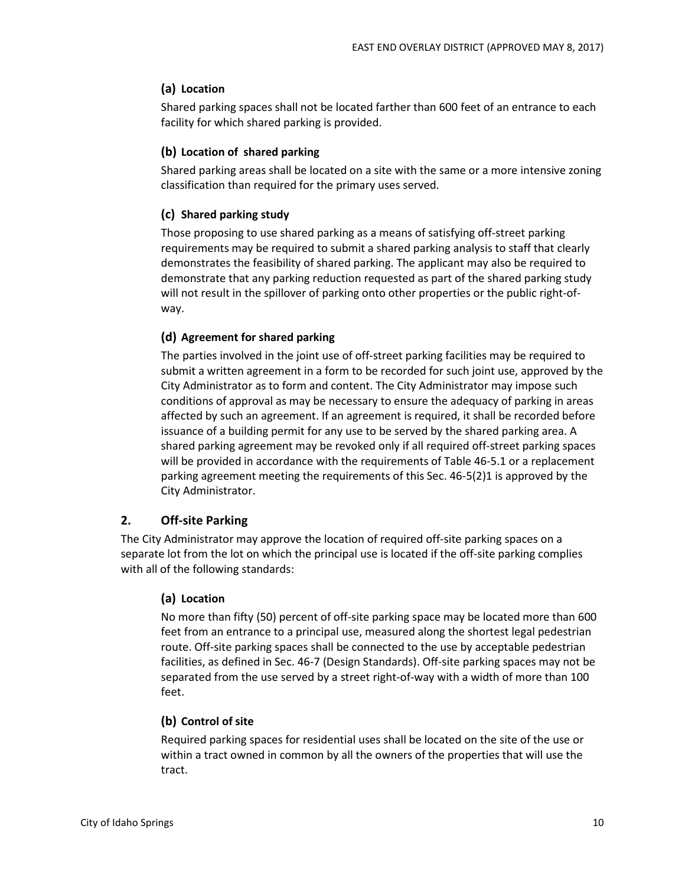## **(a) Location**

Shared parking spaces shall not be located farther than 600 feet of an entrance to each facility for which shared parking is provided.

### **(b) Location of shared parking**

Shared parking areas shall be located on a site with the same or a more intensive zoning classification than required for the primary uses served.

### **(c) Shared parking study**

Those proposing to use shared parking as a means of satisfying off-street parking requirements may be required to submit a shared parking analysis to staff that clearly demonstrates the feasibility of shared parking. The applicant may also be required to demonstrate that any parking reduction requested as part of the shared parking study will not result in the spillover of parking onto other properties or the public right-ofway.

### **(d) Agreement for shared parking**

The parties involved in the joint use of off-street parking facilities may be required to submit a written agreement in a form to be recorded for such joint use, approved by the City Administrator as to form and content. The City Administrator may impose such conditions of approval as may be necessary to ensure the adequacy of parking in areas affected by such an agreement. If an agreement is required, it shall be recorded before issuance of a building permit for any use to be served by the shared parking area. A shared parking agreement may be revoked only if all required off-street parking spaces will be provided in accordance with the requirements of Table 46-5.1 or a replacement parking agreement meeting the requirements of this Sec. 46-5(2)1 is approved by the City Administrator.

### **2. Off-site Parking**

The City Administrator may approve the location of required off-site parking spaces on a separate lot from the lot on which the principal use is located if the off-site parking complies with all of the following standards:

#### **(a) Location**

No more than fifty (50) percent of off-site parking space may be located more than 600 feet from an entrance to a principal use, measured along the shortest legal pedestrian route. Off-site parking spaces shall be connected to the use by acceptable pedestrian facilities, as defined in Sec. 46-7 (Design Standards). Off-site parking spaces may not be separated from the use served by a street right-of-way with a width of more than 100 feet.

#### **(b) Control of site**

Required parking spaces for residential uses shall be located on the site of the use or within a tract owned in common by all the owners of the properties that will use the tract.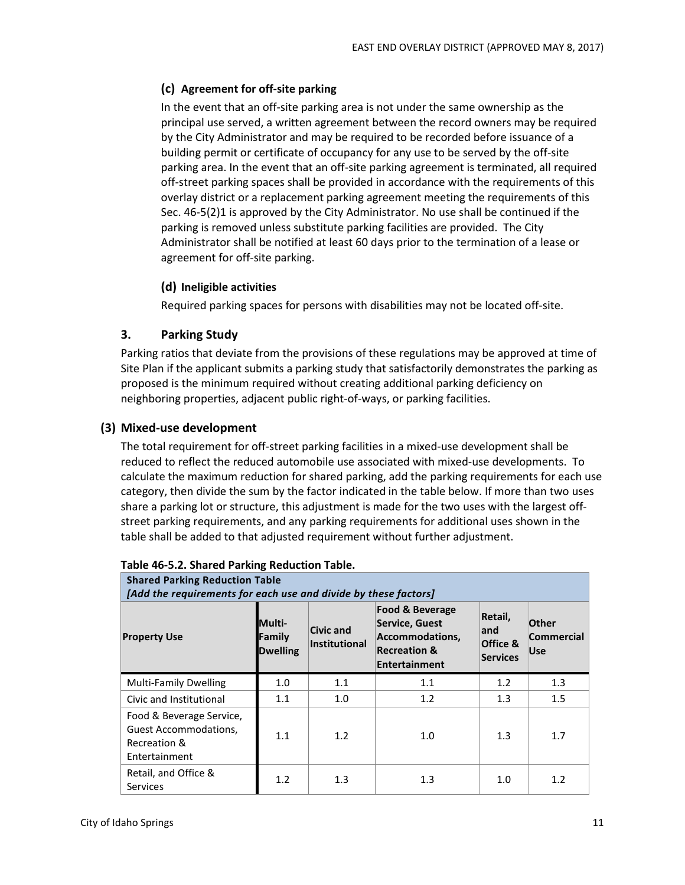## **(c) Agreement for off-site parking**

In the event that an off-site parking area is not under the same ownership as the principal use served, a written agreement between the record owners may be required by the City Administrator and may be required to be recorded before issuance of a building permit or certificate of occupancy for any use to be served by the off-site parking area. In the event that an off-site parking agreement is terminated, all required off-street parking spaces shall be provided in accordance with the requirements of this overlay district or a replacement parking agreement meeting the requirements of this Sec. 46-5(2)1 is approved by the City Administrator. No use shall be continued if the parking is removed unless substitute parking facilities are provided. The City Administrator shall be notified at least 60 days prior to the termination of a lease or agreement for off-site parking.

### **(d) Ineligible activities**

Required parking spaces for persons with disabilities may not be located off-site.

### **3. Parking Study**

Parking ratios that deviate from the provisions of these regulations may be approved at time of Site Plan if the applicant submits a parking study that satisfactorily demonstrates the parking as proposed is the minimum required without creating additional parking deficiency on neighboring properties, adjacent public right-of-ways, or parking facilities.

### **(3) Mixed-use development**

The total requirement for off-street parking facilities in a mixed-use development shall be reduced to reflect the reduced automobile use associated with mixed-use developments. To calculate the maximum reduction for shared parking, add the parking requirements for each use category, then divide the sum by the factor indicated in the table below. If more than two uses share a parking lot or structure, this adjustment is made for the two uses with the largest offstreet parking requirements, and any parking requirements for additional uses shown in the table shall be added to that adjusted requirement without further adjustment.

| <b>Shared Parking Reduction Table</b><br>[Add the requirements for each use and divide by these factors] |                                            |                                   |                                                                                                                    |                                         |                                          |  |  |  |  |
|----------------------------------------------------------------------------------------------------------|--------------------------------------------|-----------------------------------|--------------------------------------------------------------------------------------------------------------------|-----------------------------------------|------------------------------------------|--|--|--|--|
| <b>Property Use</b>                                                                                      | <b>Multi-</b><br>Family<br><b>Dwelling</b> | <b>Civic and</b><br>Institutional | <b>Food &amp; Beverage</b><br>Service, Guest<br>Accommodations,<br><b>Recreation &amp;</b><br><b>Entertainment</b> | Retail,<br>land<br>Office &<br>Services | Other<br><b>Commercial</b><br><b>Use</b> |  |  |  |  |
| <b>Multi-Family Dwelling</b>                                                                             | 1.0                                        | 1.1                               | 1.1                                                                                                                | 1.2                                     | 1.3                                      |  |  |  |  |
| Civic and Institutional                                                                                  | 1.1                                        | 1.0                               | 1.2                                                                                                                | 1.3                                     | 1.5                                      |  |  |  |  |
| Food & Beverage Service,<br><b>Guest Accommodations,</b><br>Recreation &<br>Entertainment                | 1.1                                        | 1.2                               | 1.0                                                                                                                | 1.3                                     | 1.7                                      |  |  |  |  |
| Retail, and Office &<br>Services                                                                         | 1.2                                        | 1.3                               | 1.3                                                                                                                | 1.0                                     | 1.2                                      |  |  |  |  |

#### **Table 46-5.2. Shared Parking Reduction Table.**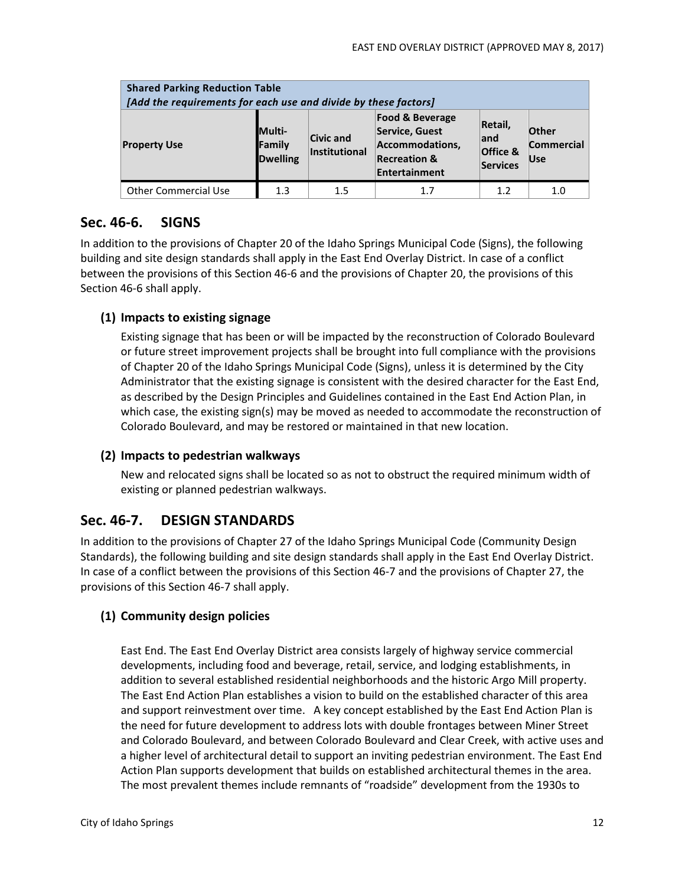| <b>Shared Parking Reduction Table</b><br>[Add the requirements for each use and divide by these factors] |                                                                                                                                                                                                                                                           |     |     |     |                   |  |  |  |
|----------------------------------------------------------------------------------------------------------|-----------------------------------------------------------------------------------------------------------------------------------------------------------------------------------------------------------------------------------------------------------|-----|-----|-----|-------------------|--|--|--|
| <b>Property Use</b>                                                                                      | <b>Food &amp; Beverage</b><br>Retail,<br><b>Multi-</b><br>Service, Guest<br>Other<br>Civic and<br>land<br>Accommodations,<br>Family<br>Institutional<br>Office &<br><b>Recreation &amp;</b><br><b>Dwelling</b><br><b>Use</b><br>Services<br>Entertainment |     |     |     | <b>Commercial</b> |  |  |  |
| <b>Other Commercial Use</b>                                                                              | 1.3                                                                                                                                                                                                                                                       | 1.5 | 1.7 | 1.2 | 1.0               |  |  |  |

## **Sec. 46-6. SIGNS**

In addition to the provisions of Chapter 20 of the Idaho Springs Municipal Code (Signs), the following building and site design standards shall apply in the East End Overlay District. In case of a conflict between the provisions of this Section 46-6 and the provisions of Chapter 20, the provisions of this Section 46-6 shall apply.

### **(1) Impacts to existing signage**

Existing signage that has been or will be impacted by the reconstruction of Colorado Boulevard or future street improvement projects shall be brought into full compliance with the provisions of Chapter 20 of the Idaho Springs Municipal Code (Signs), unless it is determined by the City Administrator that the existing signage is consistent with the desired character for the East End, as described by the Design Principles and Guidelines contained in the East End Action Plan, in which case, the existing sign(s) may be moved as needed to accommodate the reconstruction of Colorado Boulevard, and may be restored or maintained in that new location.

#### **(2) Impacts to pedestrian walkways**

New and relocated signs shall be located so as not to obstruct the required minimum width of existing or planned pedestrian walkways.

## **Sec. 46-7. DESIGN STANDARDS**

In addition to the provisions of Chapter 27 of the Idaho Springs Municipal Code (Community Design Standards), the following building and site design standards shall apply in the East End Overlay District. In case of a conflict between the provisions of this Section 46-7 and the provisions of Chapter 27, the provisions of this Section 46-7 shall apply.

#### **(1) Community design policies**

East End. The East End Overlay District area consists largely of highway service commercial developments, including food and beverage, retail, service, and lodging establishments, in addition to several established residential neighborhoods and the historic Argo Mill property. The East End Action Plan establishes a vision to build on the established character of this area and support reinvestment over time. A key concept established by the East End Action Plan is the need for future development to address lots with double frontages between Miner Street and Colorado Boulevard, and between Colorado Boulevard and Clear Creek, with active uses and a higher level of architectural detail to support an inviting pedestrian environment. The East End Action Plan supports development that builds on established architectural themes in the area. The most prevalent themes include remnants of "roadside" development from the 1930s to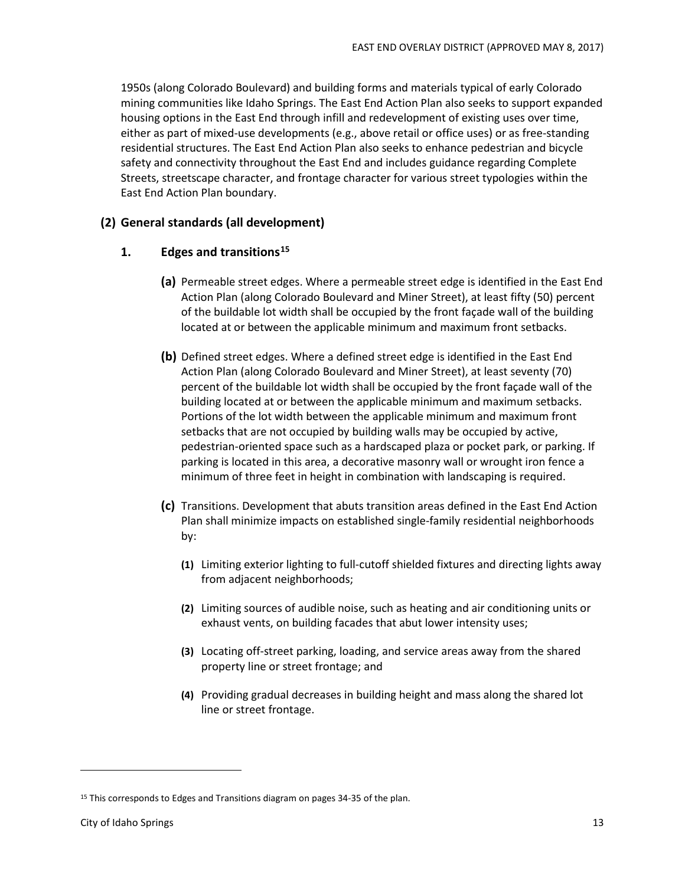1950s (along Colorado Boulevard) and building forms and materials typical of early Colorado mining communities like Idaho Springs. The East End Action Plan also seeks to support expanded housing options in the East End through infill and redevelopment of existing uses over time, either as part of mixed-use developments (e.g., above retail or office uses) or as free-standing residential structures. The East End Action Plan also seeks to enhance pedestrian and bicycle safety and connectivity throughout the East End and includes guidance regarding Complete Streets, streetscape character, and frontage character for various street typologies within the East End Action Plan boundary.

#### **(2) General standards (all development)**

#### **1. Edges and transitions15**

- **(a)** Permeable street edges. Where a permeable street edge is identified in the East End Action Plan (along Colorado Boulevard and Miner Street), at least fifty (50) percent of the buildable lot width shall be occupied by the front façade wall of the building located at or between the applicable minimum and maximum front setbacks.
- **(b)** Defined street edges. Where a defined street edge is identified in the East End Action Plan (along Colorado Boulevard and Miner Street), at least seventy (70) percent of the buildable lot width shall be occupied by the front façade wall of the building located at or between the applicable minimum and maximum setbacks. Portions of the lot width between the applicable minimum and maximum front setbacks that are not occupied by building walls may be occupied by active, pedestrian-oriented space such as a hardscaped plaza or pocket park, or parking. If parking is located in this area, a decorative masonry wall or wrought iron fence a minimum of three feet in height in combination with landscaping is required.
- **(c)** Transitions. Development that abuts transition areas defined in the East End Action Plan shall minimize impacts on established single-family residential neighborhoods by:
	- **(1)** Limiting exterior lighting to full-cutoff shielded fixtures and directing lights away from adjacent neighborhoods;
	- **(2)** Limiting sources of audible noise, such as heating and air conditioning units or exhaust vents, on building facades that abut lower intensity uses;
	- **(3)** Locating off-street parking, loading, and service areas away from the shared property line or street frontage; and
	- **(4)** Providing gradual decreases in building height and mass along the shared lot line or street frontage.

<sup>&</sup>lt;sup>15</sup> This corresponds to Edges and Transitions diagram on pages 34-35 of the plan.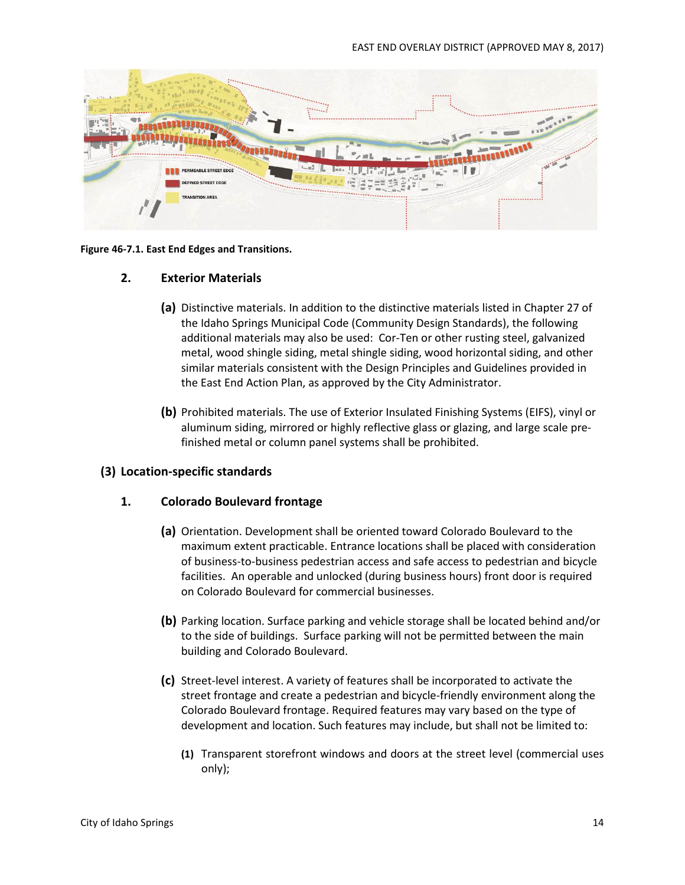

#### **Figure 46-7.1. East End Edges and Transitions.**

#### **2. Exterior Materials**

- **(a)** Distinctive materials. In addition to the distinctive materials listed in Chapter 27 of the Idaho Springs Municipal Code (Community Design Standards), the following additional materials may also be used: Cor-Ten or other rusting steel, galvanized metal, wood shingle siding, metal shingle siding, wood horizontal siding, and other similar materials consistent with the Design Principles and Guidelines provided in the East End Action Plan, as approved by the City Administrator.
- **(b)** Prohibited materials. The use of Exterior Insulated Finishing Systems (EIFS), vinyl or aluminum siding, mirrored or highly reflective glass or glazing, and large scale prefinished metal or column panel systems shall be prohibited.

#### **(3) Location-specific standards**

#### **1. Colorado Boulevard frontage**

- **(a)** Orientation. Development shall be oriented toward Colorado Boulevard to the maximum extent practicable. Entrance locations shall be placed with consideration of business-to-business pedestrian access and safe access to pedestrian and bicycle facilities. An operable and unlocked (during business hours) front door is required on Colorado Boulevard for commercial businesses.
- **(b)** Parking location. Surface parking and vehicle storage shall be located behind and/or to the side of buildings. Surface parking will not be permitted between the main building and Colorado Boulevard.
- **(c)** Street-level interest. A variety of features shall be incorporated to activate the street frontage and create a pedestrian and bicycle-friendly environment along the Colorado Boulevard frontage. Required features may vary based on the type of development and location. Such features may include, but shall not be limited to:
	- **(1)** Transparent storefront windows and doors at the street level (commercial uses only);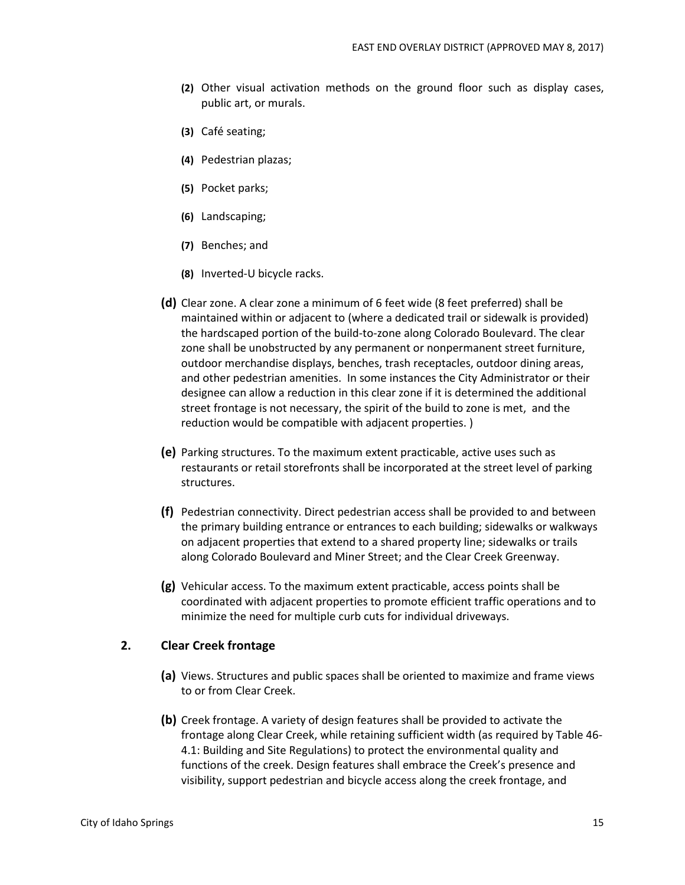- **(2)** Other visual activation methods on the ground floor such as display cases, public art, or murals.
- **(3)** Café seating;
- **(4)** Pedestrian plazas;
- **(5)** Pocket parks;
- **(6)** Landscaping;
- **(7)** Benches; and
- **(8)** Inverted-U bicycle racks.
- **(d)** Clear zone. A clear zone a minimum of 6 feet wide (8 feet preferred) shall be maintained within or adjacent to (where a dedicated trail or sidewalk is provided) the hardscaped portion of the build-to-zone along Colorado Boulevard. The clear zone shall be unobstructed by any permanent or nonpermanent street furniture, outdoor merchandise displays, benches, trash receptacles, outdoor dining areas, and other pedestrian amenities. In some instances the City Administrator or their designee can allow a reduction in this clear zone if it is determined the additional street frontage is not necessary, the spirit of the build to zone is met, and the reduction would be compatible with adjacent properties. )
- **(e)** Parking structures. To the maximum extent practicable, active uses such as restaurants or retail storefronts shall be incorporated at the street level of parking structures.
- **(f)** Pedestrian connectivity. Direct pedestrian access shall be provided to and between the primary building entrance or entrances to each building; sidewalks or walkways on adjacent properties that extend to a shared property line; sidewalks or trails along Colorado Boulevard and Miner Street; and the Clear Creek Greenway.
- **(g)** Vehicular access. To the maximum extent practicable, access points shall be coordinated with adjacent properties to promote efficient traffic operations and to minimize the need for multiple curb cuts for individual driveways.

#### **2. Clear Creek frontage**

- **(a)** Views. Structures and public spaces shall be oriented to maximize and frame views to or from Clear Creek.
- **(b)** Creek frontage. A variety of design features shall be provided to activate the frontage along Clear Creek, while retaining sufficient width (as required by Table 46- 4.1: Building and Site Regulations) to protect the environmental quality and functions of the creek. Design features shall embrace the Creek's presence and visibility, support pedestrian and bicycle access along the creek frontage, and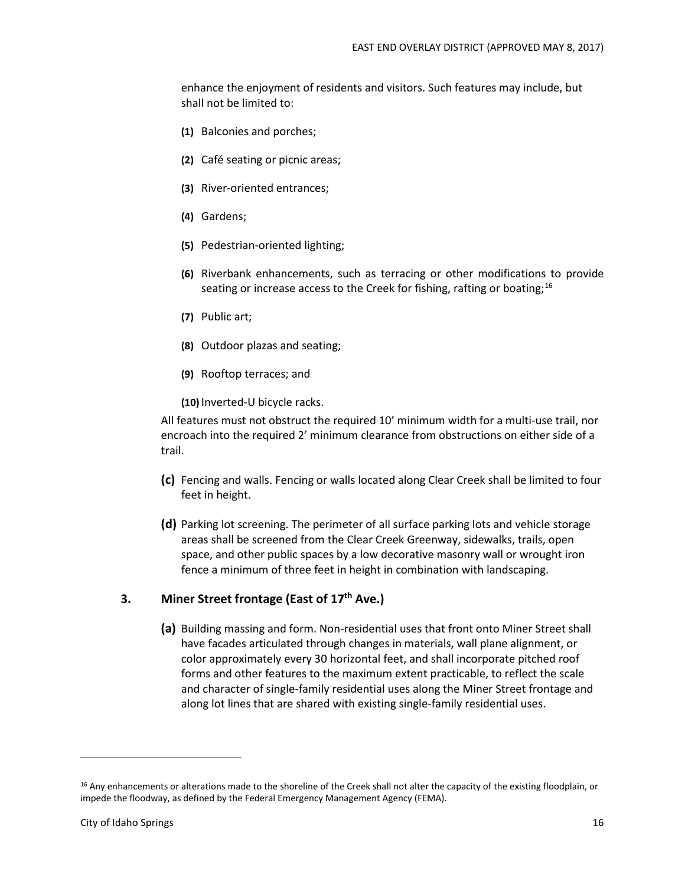enhance the enjoyment of residents and visitors. Such features may include, but shall not be limited to:

- **(1)** Balconies and porches;
- **(2)** Café seating or picnic areas;
- **(3)** River-oriented entrances;
- **(4)** Gardens;
- **(5)** Pedestrian-oriented lighting;
- **(6)** Riverbank enhancements, such as terracing or other modifications to provide seating or increase access to the Creek for fishing, rafting or boating;  $^{16}$
- **(7)** Public art;
- **(8)** Outdoor plazas and seating;
- **(9)** Rooftop terraces; and
- **(10)** Inverted-U bicycle racks.

All features must not obstruct the required 10' minimum width for a multi-use trail, nor encroach into the required 2' minimum clearance from obstructions on either side of a trail.

- **(c)** Fencing and walls. Fencing or walls located along Clear Creek shall be limited to four feet in height.
- **(d)** Parking lot screening. The perimeter of all surface parking lots and vehicle storage areas shall be screened from the Clear Creek Greenway, sidewalks, trails, open space, and other public spaces by a low decorative masonry wall or wrought iron fence a minimum of three feet in height in combination with landscaping.

#### **3. Miner Street frontage (East of 17th Ave.)**

**(a)** Building massing and form. Non-residential uses that front onto Miner Street shall have facades articulated through changes in materials, wall plane alignment, or color approximately every 30 horizontal feet, and shall incorporate pitched roof forms and other features to the maximum extent practicable, to reflect the scale and character of single-family residential uses along the Miner Street frontage and along lot lines that are shared with existing single-family residential uses.

<sup>&</sup>lt;sup>16</sup> Any enhancements or alterations made to the shoreline of the Creek shall not alter the capacity of the existing floodplain, or impede the floodway, as defined by the Federal Emergency Management Agency (FEMA).